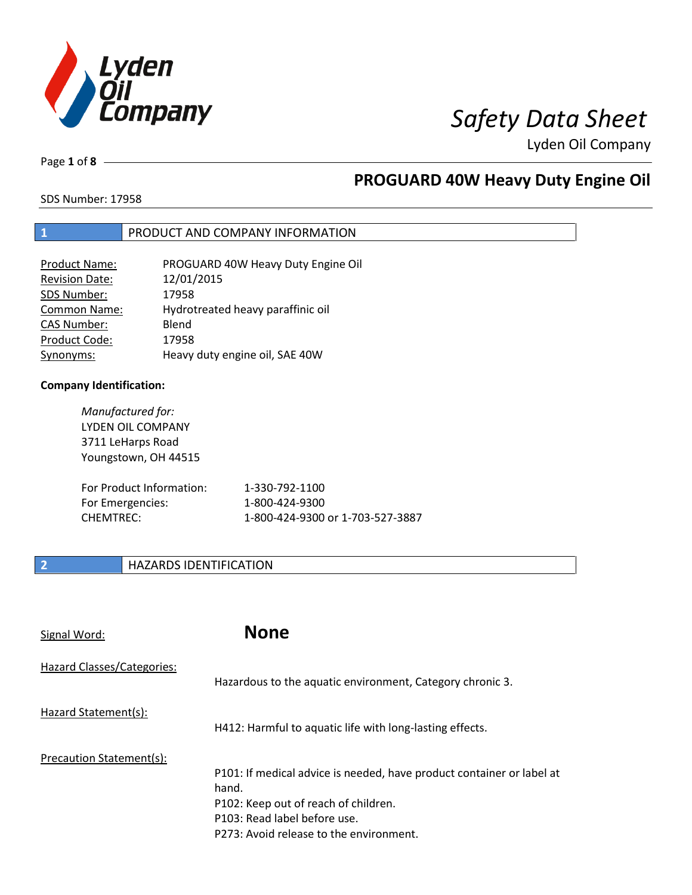

Page **1** of **8**

## **PROGUARD 40W Heavy Duty Engine Oil**

SDS Number: 17958

### **1** PRODUCT AND COMPANY INFORMATION

| <b>Product Name:</b>  | PROGUARD 40W Heavy Duty Engine Oil |
|-----------------------|------------------------------------|
| <b>Revision Date:</b> | 12/01/2015                         |
| SDS Number:           | 17958                              |
| Common Name:          | Hydrotreated heavy paraffinic oil  |
| <b>CAS Number:</b>    | Blend                              |
| Product Code:         | 17958                              |
| Synonyms:             | Heavy duty engine oil, SAE 40W     |

### **Company Identification:**

| Manufactured for:        |                                  |
|--------------------------|----------------------------------|
| LYDEN OIL COMPANY        |                                  |
| 3711 LeHarps Road        |                                  |
| Youngstown, OH 44515     |                                  |
|                          |                                  |
| For Product Information: | 1-330-792-1100                   |
| For Emergencies:         | 1-800-424-9300                   |
| CHFMTRFC:                | 1-800-424-9300 or 1-703-527-3887 |
|                          |                                  |

### **2 HAZARDS IDENTIFICATION**

| Signal Word:               | <b>None</b>                                                                                                                                                                                       |
|----------------------------|---------------------------------------------------------------------------------------------------------------------------------------------------------------------------------------------------|
| Hazard Classes/Categories: | Hazardous to the aquatic environment, Category chronic 3.                                                                                                                                         |
| Hazard Statement(s):       | H412: Harmful to aquatic life with long-lasting effects.                                                                                                                                          |
| Precaution Statement(s):   | P101: If medical advice is needed, have product container or label at<br>hand.<br>P102: Keep out of reach of children.<br>P103: Read label before use.<br>P273: Avoid release to the environment. |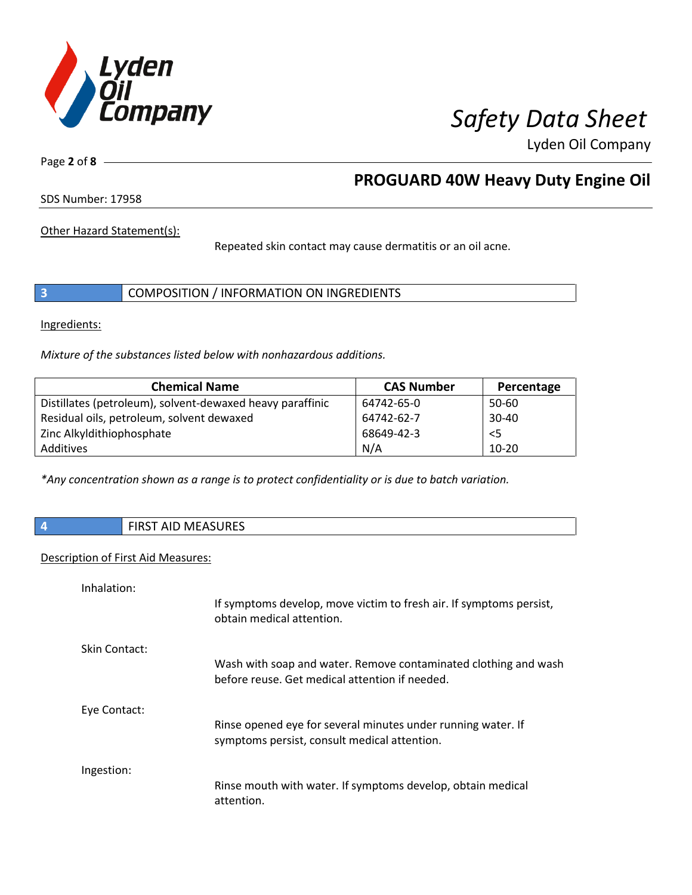

Page **2** of **8**

## **PROGUARD 40W Heavy Duty Engine Oil**

SDS Number: 17958

Other Hazard Statement(s):

Repeated skin contact may cause dermatitis or an oil acne.

|  | COMPOSITION / INFORMATION ON INGREDIENTS |
|--|------------------------------------------|
|--|------------------------------------------|

Ingredients:

*Mixture of the substances listed below with nonhazardous additions.*

| <b>Chemical Name</b>                                      | <b>CAS Number</b> | Percentage |
|-----------------------------------------------------------|-------------------|------------|
| Distillates (petroleum), solvent-dewaxed heavy paraffinic | 64742-65-0        | 50-60      |
| Residual oils, petroleum, solvent dewaxed                 | 64742-62-7        | $30 - 40$  |
| Zinc Alkyldithiophosphate                                 | 68649-42-3        | $<$ 5      |
| Additives                                                 | N/A               | $10 - 20$  |

*\*Any concentration shown as a range is to protect confidentiality or is due to batch variation.*

**4** FIRST AID MEASURES

### Description of First Aid Measures:

| Inhalation:   |                                                                                                                   |
|---------------|-------------------------------------------------------------------------------------------------------------------|
|               | If symptoms develop, move victim to fresh air. If symptoms persist,<br>obtain medical attention.                  |
| Skin Contact: |                                                                                                                   |
|               | Wash with soap and water. Remove contaminated clothing and wash<br>before reuse. Get medical attention if needed. |
| Eye Contact:  |                                                                                                                   |
|               | Rinse opened eye for several minutes under running water. If<br>symptoms persist, consult medical attention.      |
| Ingestion:    |                                                                                                                   |
|               | Rinse mouth with water. If symptoms develop, obtain medical<br>attention.                                         |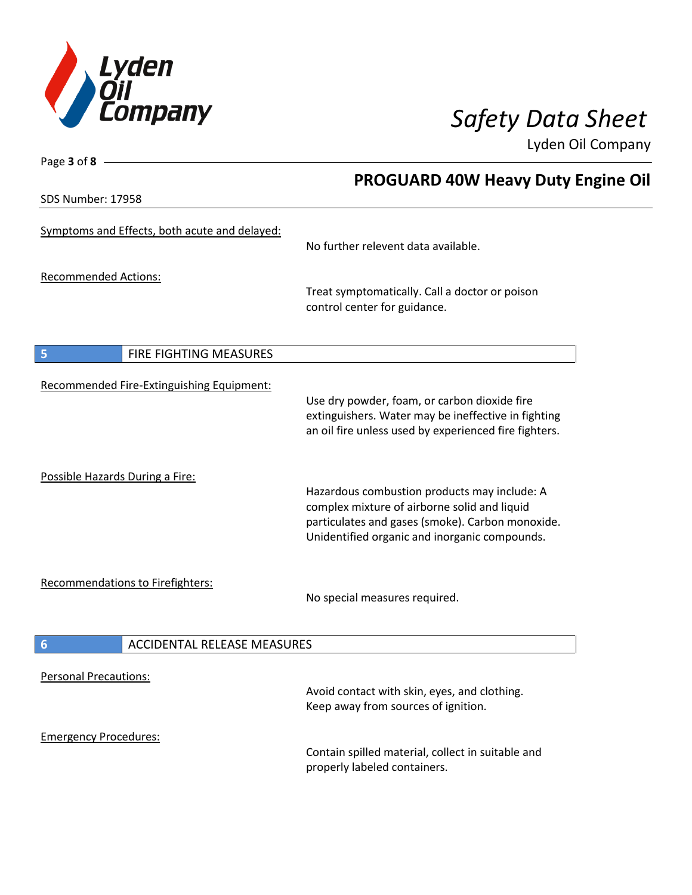

SDS Number: 17958

Page **3** of **8**

# **PROGUARD 40W Heavy Duty Engine Oil**

| Symptoms and Effects, both acute and delayed:         | No further relevent data available.                                                                                                                                                               |
|-------------------------------------------------------|---------------------------------------------------------------------------------------------------------------------------------------------------------------------------------------------------|
| <b>Recommended Actions:</b>                           | Treat symptomatically. Call a doctor or poison<br>control center for guidance.                                                                                                                    |
| FIRE FIGHTING MEASURES<br>5                           |                                                                                                                                                                                                   |
| Recommended Fire-Extinguishing Equipment:             | Use dry powder, foam, or carbon dioxide fire<br>extinguishers. Water may be ineffective in fighting<br>an oil fire unless used by experienced fire fighters.                                      |
| Possible Hazards During a Fire:                       | Hazardous combustion products may include: A<br>complex mixture of airborne solid and liquid<br>particulates and gases (smoke). Carbon monoxide.<br>Unidentified organic and inorganic compounds. |
| <b>Recommendations to Firefighters:</b>               | No special measures required.                                                                                                                                                                     |
| <b>ACCIDENTAL RELEASE MEASURES</b><br>$6\phantom{1}6$ |                                                                                                                                                                                                   |
| <b>Personal Precautions:</b>                          | Avoid contact with skin, eyes, and clothing.<br>Keep away from sources of ignition.                                                                                                               |
| <b>Emergency Procedures:</b>                          | Contain spilled material, collect in suitable and<br>properly labeled containers.                                                                                                                 |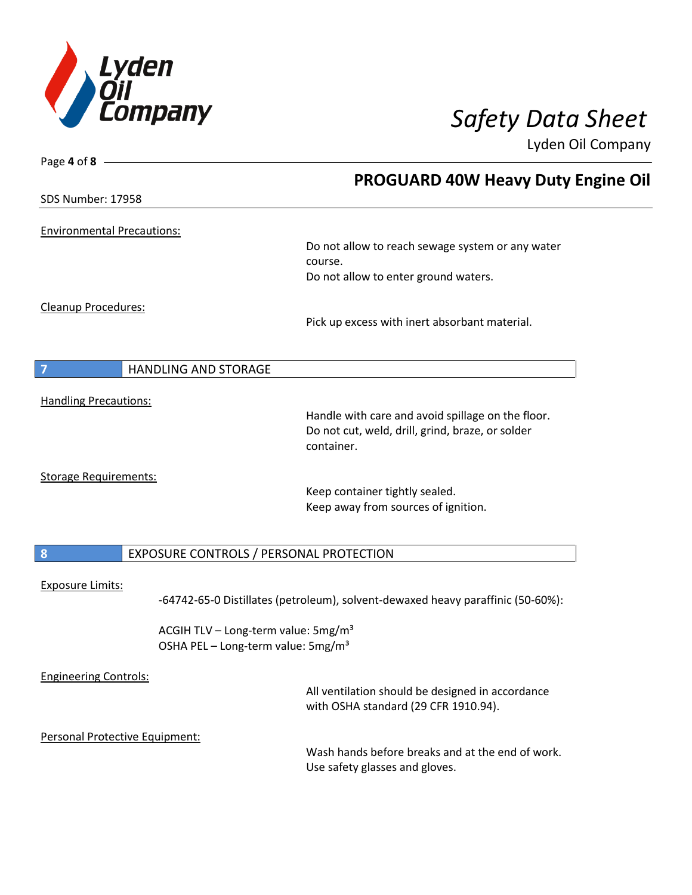

| Page 4 of 8 -                     |                                                                                                   |
|-----------------------------------|---------------------------------------------------------------------------------------------------|
|                                   | <b>PROGUARD 40W Heavy Duty Engine Oil</b>                                                         |
| <b>SDS Number: 17958</b>          |                                                                                                   |
| <b>Environmental Precautions:</b> |                                                                                                   |
|                                   | Do not allow to reach sewage system or any water                                                  |
|                                   | course.                                                                                           |
|                                   | Do not allow to enter ground waters.                                                              |
| Cleanup Procedures:               |                                                                                                   |
|                                   | Pick up excess with inert absorbant material.                                                     |
|                                   |                                                                                                   |
| <b>HANDLING AND STORAGE</b><br>7  |                                                                                                   |
| <b>Handling Precautions:</b>      |                                                                                                   |
|                                   | Handle with care and avoid spillage on the floor.                                                 |
|                                   | Do not cut, weld, drill, grind, braze, or solder<br>container.                                    |
| <b>Storage Requirements:</b>      |                                                                                                   |
|                                   | Keep container tightly sealed.                                                                    |
|                                   | Keep away from sources of ignition.                                                               |
| $\boldsymbol{8}$                  | EXPOSURE CONTROLS / PERSONAL PROTECTION                                                           |
|                                   |                                                                                                   |
| <b>Exposure Limits:</b>           | -64742-65-0 Distillates (petroleum), solvent-dewaxed heavy paraffinic (50-60%):                   |
|                                   | ACGIH TLV - Long-term value: 5mg/m <sup>3</sup><br>OSHA PEL - Long-term value: 5mg/m <sup>3</sup> |
|                                   |                                                                                                   |
| <b>Engineering Controls:</b>      | All ventilation should be designed in accordance                                                  |
|                                   | with OSHA standard (29 CFR 1910.94).                                                              |
| Personal Protective Equipment:    |                                                                                                   |
|                                   | Wash hands before breaks and at the end of work.                                                  |
|                                   | Use safety glasses and gloves.                                                                    |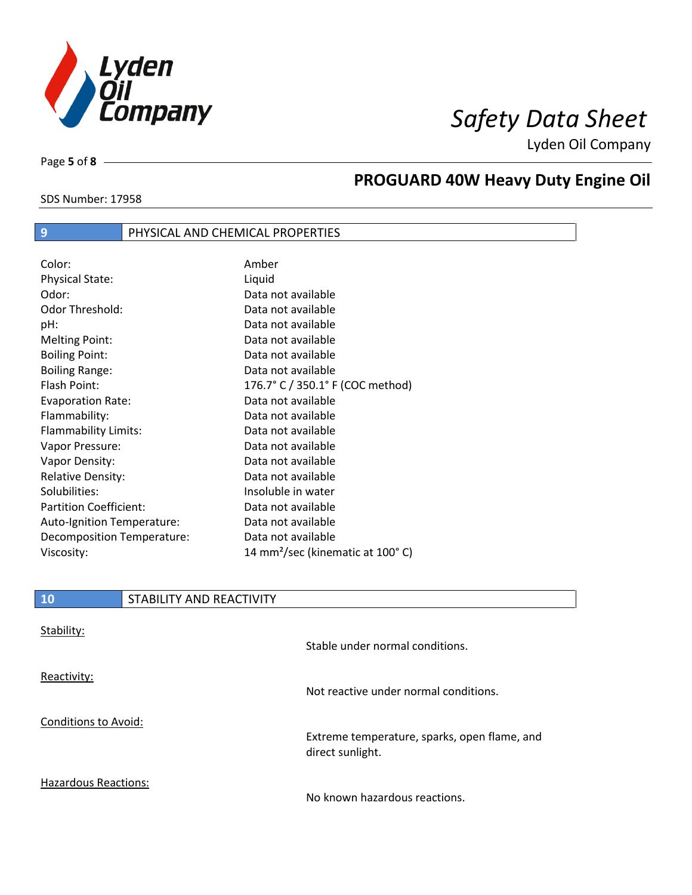

Page **5** of **8**

 $\overline{\phantom{a}}$ 

# **PROGUARD 40W Heavy Duty Engine Oil**

### SDS Number: 17958

### **9** PHYSICAL AND CHEMICAL PROPERTIES

| Color:                        | Amber                                        |
|-------------------------------|----------------------------------------------|
| <b>Physical State:</b>        | Liquid                                       |
| Odor:                         | Data not available                           |
| <b>Odor Threshold:</b>        | Data not available                           |
| pH:                           | Data not available                           |
| <b>Melting Point:</b>         | Data not available                           |
| <b>Boiling Point:</b>         | Data not available                           |
| <b>Boiling Range:</b>         | Data not available                           |
| Flash Point:                  | 176.7° C / 350.1° F (COC method)             |
| <b>Evaporation Rate:</b>      | Data not available                           |
| Flammability:                 | Data not available                           |
| Flammability Limits:          | Data not available                           |
| Vapor Pressure:               | Data not available                           |
| Vapor Density:                | Data not available                           |
| <b>Relative Density:</b>      | Data not available                           |
| Solubilities:                 | Insoluble in water                           |
| <b>Partition Coefficient:</b> | Data not available                           |
| Auto-Ignition Temperature:    | Data not available                           |
| Decomposition Temperature:    | Data not available                           |
| Viscosity:                    | 14 mm <sup>2</sup> /sec (kinematic at 100°C) |

| <b>10</b>                   | STABILITY AND REACTIVITY |                                                                  |
|-----------------------------|--------------------------|------------------------------------------------------------------|
| Stability:                  |                          | Stable under normal conditions.                                  |
| Reactivity:                 |                          | Not reactive under normal conditions.                            |
| <b>Conditions to Avoid:</b> |                          | Extreme temperature, sparks, open flame, and<br>direct sunlight. |
| <b>Hazardous Reactions:</b> |                          | No known hazardous reactions.                                    |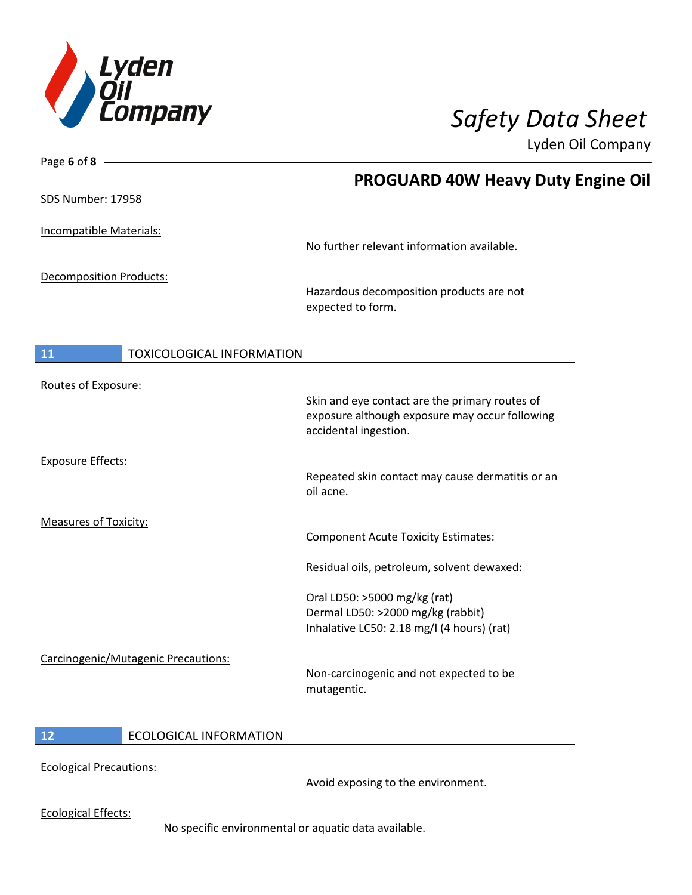

Page **6** of **8**

Lyden Oil Company

|                                        | <b>PROGUARD 40W Heavy Duty Engine Oil</b>                                                                                 |
|----------------------------------------|---------------------------------------------------------------------------------------------------------------------------|
| SDS Number: 17958                      |                                                                                                                           |
| Incompatible Materials:                | No further relevant information available.                                                                                |
| <b>Decomposition Products:</b>         | Hazardous decomposition products are not<br>expected to form.                                                             |
| 11<br><b>TOXICOLOGICAL INFORMATION</b> |                                                                                                                           |
| Routes of Exposure:                    | Skin and eye contact are the primary routes of<br>exposure although exposure may occur following<br>accidental ingestion. |
| <b>Exposure Effects:</b>               | Repeated skin contact may cause dermatitis or an<br>oil acne.                                                             |
| <b>Measures of Toxicity:</b>           | <b>Component Acute Toxicity Estimates:</b>                                                                                |
|                                        | Residual oils, petroleum, solvent dewaxed:                                                                                |
|                                        | Oral LD50: >5000 mg/kg (rat)<br>Dermal LD50: >2000 mg/kg (rabbit)<br>Inhalative LC50: 2.18 mg/l (4 hours) (rat)           |
| Carcinogenic/Mutagenic Precautions:    | Non-carcinogenic and not expected to be<br>mutagentic.                                                                    |

### **12** ECOLOGICAL INFORMATION

Ecological Precautions:

Avoid exposing to the environment.

Ecological Effects:

No specific environmental or aquatic data available.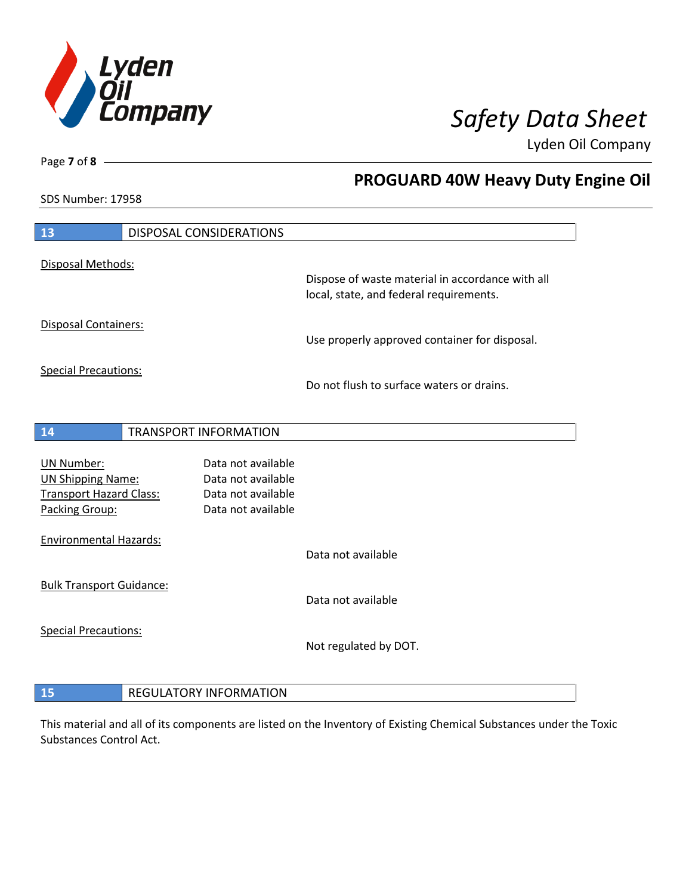

**PROGUARD 40W Heavy Duty Engine Oil**

Lyden Oil Company

SDS Number: 17958

Page **7** of **8**

| 13                                               |  | DISPOSAL CONSIDERATIONS                  |                                                                                             |
|--------------------------------------------------|--|------------------------------------------|---------------------------------------------------------------------------------------------|
| Disposal Methods:                                |  |                                          |                                                                                             |
|                                                  |  |                                          | Dispose of waste material in accordance with all<br>local, state, and federal requirements. |
| <b>Disposal Containers:</b>                      |  |                                          | Use properly approved container for disposal.                                               |
| <b>Special Precautions:</b>                      |  |                                          |                                                                                             |
|                                                  |  |                                          | Do not flush to surface waters or drains.                                                   |
| 14                                               |  | <b>TRANSPORT INFORMATION</b>             |                                                                                             |
|                                                  |  |                                          |                                                                                             |
| <b>UN Number:</b>                                |  | Data not available                       |                                                                                             |
| <b>UN Shipping Name:</b>                         |  | Data not available                       |                                                                                             |
| <b>Transport Hazard Class:</b><br>Packing Group: |  | Data not available<br>Data not available |                                                                                             |
|                                                  |  |                                          |                                                                                             |
| <b>Environmental Hazards:</b>                    |  |                                          |                                                                                             |
|                                                  |  |                                          | Data not available                                                                          |
| <b>Bulk Transport Guidance:</b>                  |  |                                          |                                                                                             |
|                                                  |  |                                          | Data not available                                                                          |
| <b>Special Precautions:</b>                      |  |                                          |                                                                                             |
|                                                  |  |                                          | Not regulated by DOT.                                                                       |
|                                                  |  |                                          |                                                                                             |
|                                                  |  |                                          |                                                                                             |

# This material and all of its components are listed on the Inventory of Existing Chemical Substances under the Toxic

Substances Control Act.